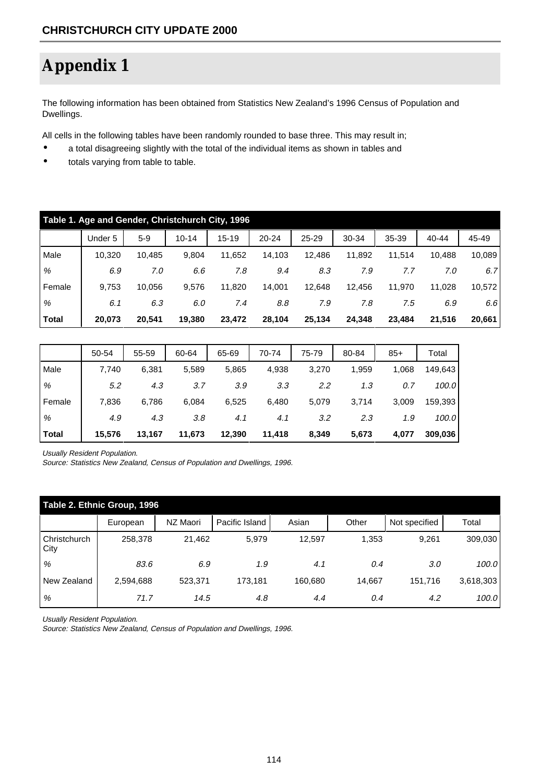## **Appendix 1**

The following information has been obtained from Statistics New Zealand's 1996 Census of Population and Dwellings.

All cells in the following tables have been randomly rounded to base three. This may result in;

- a total disagreeing slightly with the total of the individual items as shown in tables and
- totals varying from table to table.

|        | Table 1. Age and Gender, Christchurch City, 1996 |        |           |           |           |        |        |        |           |        |  |  |
|--------|--------------------------------------------------|--------|-----------|-----------|-----------|--------|--------|--------|-----------|--------|--|--|
|        | Under 5                                          | $5-9$  | $10 - 14$ | $15 - 19$ | $20 - 24$ | 25-29  | 30-34  | 35-39  | $40 - 44$ | 45-49  |  |  |
| Male   | 10,320                                           | 10,485 | 9,804     | 11,652    | 14.103    | 12.486 | 11,892 | 11.514 | 10,488    | 10,089 |  |  |
| %      | 6.9                                              | 7.0    | 6.6       | 7.8       | 9.4       | 8.3    | 7.9    | 7.7    | 7.0       | 6.7    |  |  |
| Female | 9,753                                            | 10,056 | 9,576     | 11,820    | 14,001    | 12,648 | 12,456 | 11,970 | 11,028    | 10,572 |  |  |
| %      | 6.1                                              | 6.3    | 6.0       | 7.4       | 8.8       | 7.9    | 7.8    | 7.5    | 6.9       | 6.6    |  |  |
| Total  | 20,073                                           | 20.541 | 19.380    | 23.472    | 28.104    | 25,134 | 24.348 | 23,484 | 21.516    | 20,661 |  |  |

|        | 50-54  | 55-59  | 60-64  | 65-69  | 70-74  | 75-79 | 80-84 | $85+$ | Total   |
|--------|--------|--------|--------|--------|--------|-------|-------|-------|---------|
| Male   | 7,740  | 6,381  | 5,589  | 5,865  | 4,938  | 3,270 | 1,959 | 1,068 | 149,643 |
| %      | 5.2    | 4.3    | 3.7    | 3.9    | 3.3    | 2.2   | 1.3   | 0.7   | 100.0   |
| Female | 7,836  | 6,786  | 6,084  | 6,525  | 6,480  | 5,079 | 3,714 | 3,009 | 159,393 |
| %      | 4.9    | 4.3    | 3.8    | 4.1    | 4.1    | 3.2   | 2.3   | 1.9   | 100.0   |
| Total  | 15,576 | 13,167 | 11,673 | 12,390 | 11,418 | 8,349 | 5,673 | 4,077 | 309,036 |

Usually Resident Population.

Source: Statistics New Zealand, Census of Population and Dwellings, 1996.

|                             | Table 2. Ethnic Group, 1996 |          |                |         |        |               |           |  |  |  |  |  |
|-----------------------------|-----------------------------|----------|----------------|---------|--------|---------------|-----------|--|--|--|--|--|
|                             | European                    | NZ Maori | Pacific Island | Asian   | Other  | Not specified | Total     |  |  |  |  |  |
| <b>Christchurch</b><br>City | 258,378                     | 21.462   | 5,979          | 12,597  | 1,353  | 9,261         | 309,030   |  |  |  |  |  |
| %                           | 83.6                        | 6.9      | 1.9            | 4.1     | 0.4    | 3.0           | 100.0     |  |  |  |  |  |
| New Zealand                 | 2,594,688                   | 523,371  | 173,181        | 160,680 | 14.667 | 151,716       | 3,618,303 |  |  |  |  |  |
| %                           | 71.7                        | 14.5     | 4.8            | 4.4     | 0.4    | 4.2           | 100.0     |  |  |  |  |  |

Usually Resident Population.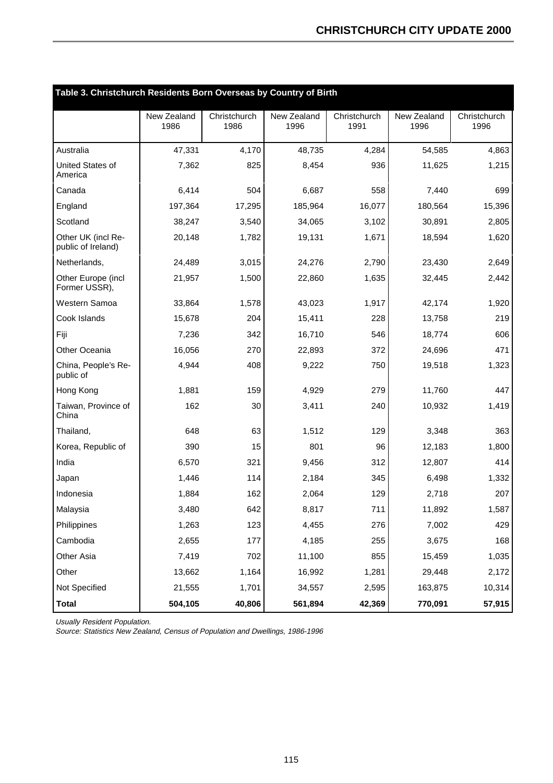| Table 3. Christchurch Residents Born Overseas by Country of Birth |                     |                      |                     |                      |                     |                      |
|-------------------------------------------------------------------|---------------------|----------------------|---------------------|----------------------|---------------------|----------------------|
|                                                                   | New Zealand<br>1986 | Christchurch<br>1986 | New Zealand<br>1996 | Christchurch<br>1991 | New Zealand<br>1996 | Christchurch<br>1996 |
| Australia                                                         | 47,331              | 4,170                | 48,735              | 4,284                | 54,585              | 4,863                |
| United States of<br>America                                       | 7,362               | 825                  | 8,454               | 936                  | 11,625              | 1,215                |
| Canada                                                            | 6,414               | 504                  | 6,687               | 558                  | 7,440               | 699                  |
| England                                                           | 197,364             | 17,295               | 185,964             | 16,077               | 180,564             | 15,396               |
| Scotland                                                          | 38,247              | 3,540                | 34,065              | 3,102                | 30,891              | 2,805                |
| Other UK (incl Re-<br>public of Ireland)                          | 20,148              | 1,782                | 19,131              | 1,671                | 18,594              | 1,620                |
| Netherlands,                                                      | 24,489              | 3,015                | 24,276              | 2,790                | 23,430              | 2,649                |
| Other Europe (incl<br>Former USSR),                               | 21,957              | 1,500                | 22,860              | 1,635                | 32,445              | 2,442                |
| Western Samoa                                                     | 33,864              | 1,578                | 43,023              | 1,917                | 42,174              | 1,920                |
| Cook Islands                                                      | 15,678              | 204                  | 15,411              | 228                  | 13,758              | 219                  |
| Fiji                                                              | 7,236               | 342                  | 16,710              | 546                  | 18.774              | 606                  |
| Other Oceania                                                     | 16,056              | 270                  | 22,893              | 372                  | 24,696              | 471                  |
| China, People's Re-<br>public of                                  | 4,944               | 408                  | 9,222               | 750                  | 19,518              | 1,323                |
| Hong Kong                                                         | 1,881               | 159                  | 4,929               | 279                  | 11,760              | 447                  |
| Taiwan, Province of<br>China                                      | 162                 | 30                   | 3,411               | 240                  | 10,932              | 1,419                |
| Thailand,                                                         | 648                 | 63                   | 1,512               | 129                  | 3,348               | 363                  |
| Korea, Republic of                                                | 390                 | 15                   | 801                 | 96                   | 12,183              | 1,800                |
| India                                                             | 6,570               | 321                  | 9,456               | 312                  | 12,807              | 414                  |
| Japan                                                             | 1,446               | 114                  | 2,184               | 345                  | 6,498               | 1,332                |
| Indonesia                                                         | 1,884               | 162                  | 2,064               | 129                  | 2,718               | 207                  |
| Malaysia                                                          | 3,480               | 642                  | 8,817               | 711                  | 11,892              | 1,587                |
| Philippines                                                       | 1,263               | 123                  | 4,455               | 276                  | 7,002               | 429                  |
| Cambodia                                                          | 2,655               | 177                  | 4,185               | 255                  | 3,675               | 168                  |
| Other Asia                                                        | 7,419               | 702                  | 11,100              | 855                  | 15,459              | 1,035                |
| Other                                                             | 13,662              | 1,164                | 16,992              | 1,281                | 29,448              | 2,172                |
| Not Specified                                                     | 21,555              | 1,701                | 34,557              | 2,595                | 163,875             | 10,314               |
| <b>Total</b>                                                      | 504,105             | 40,806               | 561,894             | 42,369               | 770,091             | 57,915               |

Usually Resident Population.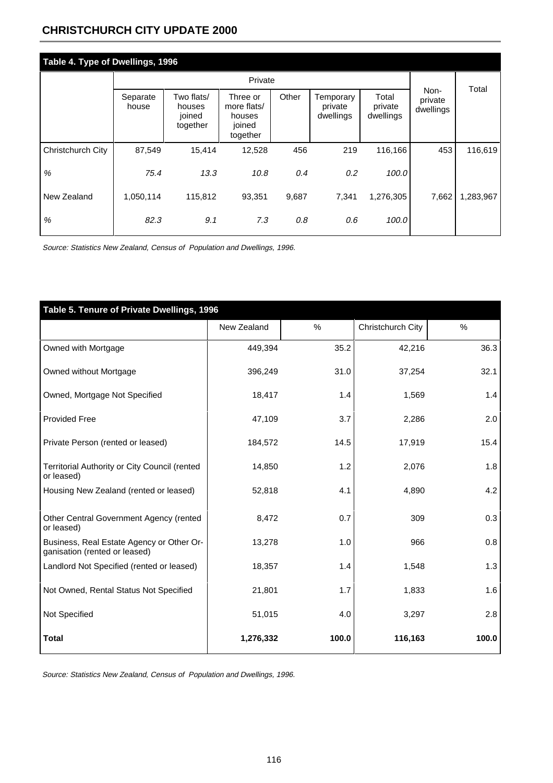## **CHRISTCHURCH CITY UPDATE 2000**

| Table 4. Type of Dwellings, 1996 |                   |                                            |                                                         |       |                                   |                               |                              |           |  |  |
|----------------------------------|-------------------|--------------------------------------------|---------------------------------------------------------|-------|-----------------------------------|-------------------------------|------------------------------|-----------|--|--|
|                                  |                   |                                            |                                                         |       | Total                             |                               |                              |           |  |  |
|                                  | Separate<br>house | Two flats/<br>houses<br>joined<br>together | Three or<br>more flats/<br>houses<br>joined<br>together | Other | Temporary<br>private<br>dwellings | Total<br>private<br>dwellings | Non-<br>private<br>dwellings |           |  |  |
| Christchurch City                | 87,549            | 15,414                                     | 12,528                                                  | 456   | 219                               | 116,166                       | 453                          | 116,619   |  |  |
| $\%$                             | 75.4              | 13.3                                       | 10.8                                                    | 0.4   | 0.2                               | 100.0                         |                              |           |  |  |
| New Zealand                      | 1,050,114         | 115,812                                    | 93,351                                                  | 9,687 | 7,341                             | 1,276,305                     | 7,662                        | 1,283,967 |  |  |
| %                                | 82.3              | 9.1                                        | 7.3                                                     | 0.8   | 0.6                               | 100.0                         |                              |           |  |  |

Source: Statistics New Zealand, Census of Population and Dwellings, 1996.

| Table 5. Tenure of Private Dwellings, 1996                                 |             |       |                   |       |
|----------------------------------------------------------------------------|-------------|-------|-------------------|-------|
|                                                                            | New Zealand | %     | Christchurch City | $\%$  |
| Owned with Mortgage                                                        | 449,394     | 35.2  | 42,216            | 36.3  |
| Owned without Mortgage                                                     | 396,249     | 31.0  | 37,254            | 32.1  |
| Owned, Mortgage Not Specified                                              | 18,417      | 1.4   | 1,569             | 1.4   |
| <b>Provided Free</b>                                                       | 47,109      | 3.7   | 2,286             | 2.0   |
| Private Person (rented or leased)                                          | 184,572     | 14.5  | 17,919            | 15.4  |
| Territorial Authority or City Council (rented<br>or leased)                | 14,850      | 1.2   | 2,076             | 1.8   |
| Housing New Zealand (rented or leased)                                     | 52,818      | 4.1   | 4,890             | 4.2   |
| Other Central Government Agency (rented<br>or leased)                      | 8,472       | 0.7   | 309               | 0.3   |
| Business, Real Estate Agency or Other Or-<br>ganisation (rented or leased) | 13,278      | 1.0   | 966               | 0.8   |
| Landlord Not Specified (rented or leased)                                  | 18,357      | 1.4   | 1,548             | 1.3   |
| Not Owned, Rental Status Not Specified                                     | 21,801      | 1.7   | 1,833             | 1.6   |
| Not Specified                                                              | 51,015      | 4.0   | 3,297             | 2.8   |
| <b>Total</b>                                                               | 1,276,332   | 100.0 | 116,163           | 100.0 |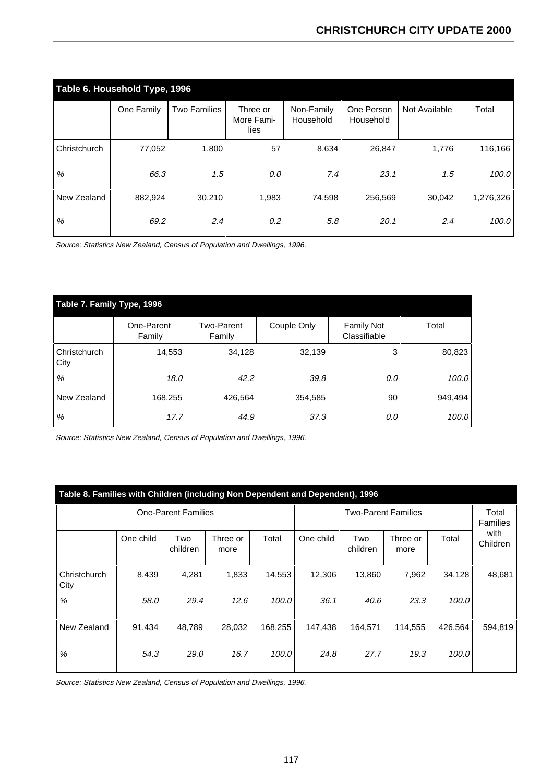|              | Table 6. Household Type, 1996 |                     |                                |                         |                         |               |           |  |  |  |  |  |
|--------------|-------------------------------|---------------------|--------------------------------|-------------------------|-------------------------|---------------|-----------|--|--|--|--|--|
|              | One Family                    | <b>Two Families</b> | Three or<br>More Fami-<br>lies | Non-Family<br>Household | One Person<br>Household | Not Available | Total     |  |  |  |  |  |
| Christchurch | 77,052                        | 1,800               | 57                             | 8,634                   | 26,847                  | 1,776         | 116,166   |  |  |  |  |  |
| %            | 66.3                          | 1.5                 | 0.0                            | 7.4                     | 23.1                    | 1.5           | 100.0     |  |  |  |  |  |
| New Zealand  | 882,924                       | 30,210              | 1,983                          | 74,598                  | 256,569                 | 30,042        | 1,276,326 |  |  |  |  |  |
| %            | 69.2                          | 2.4                 | 0.2                            | 5.8                     | 20.1                    | 2.4           | 100.0     |  |  |  |  |  |

Source: Statistics New Zealand, Census of Population and Dwellings, 1996.

| Table 7. Family Type, 1996 |                      |                             |             |                                   |         |  |  |  |  |  |
|----------------------------|----------------------|-----------------------------|-------------|-----------------------------------|---------|--|--|--|--|--|
|                            | One-Parent<br>Family | <b>Two-Parent</b><br>Family | Couple Only | <b>Family Not</b><br>Classifiable | Total   |  |  |  |  |  |
| Christchurch<br>City       | 14,553               | 34,128                      | 32,139      | 3                                 | 80,823  |  |  |  |  |  |
| %                          | 18.0                 | 42.2                        | 39.8        | 0.0                               | 100.0   |  |  |  |  |  |
| New Zealand                | 168,255              | 426,564                     | 354,585     | 90                                | 949,494 |  |  |  |  |  |
| %                          | 17.7                 | 44.9                        | 37.3        | 0.0                               | 100.0   |  |  |  |  |  |

Source: Statistics New Zealand, Census of Population and Dwellings, 1996.

| Table 8. Families with Children (including Non Dependent and Dependent), 1996 |           |                            |                  |                            |           |                 |                  |                          |                  |  |
|-------------------------------------------------------------------------------|-----------|----------------------------|------------------|----------------------------|-----------|-----------------|------------------|--------------------------|------------------|--|
|                                                                               |           | <b>One-Parent Families</b> |                  | <b>Two-Parent Families</b> |           |                 |                  | Total<br><b>Families</b> |                  |  |
|                                                                               | One child | Two<br>children            | Three or<br>more | Total                      | One child | Two<br>children | Three or<br>more | Total                    | with<br>Children |  |
| Christchurch<br>City                                                          | 8,439     | 4,281                      | 1,833            | 14,553                     | 12,306    | 13,860          | 7,962            | 34,128                   | 48,681           |  |
| %                                                                             | 58.0      | 29.4                       | 12.6             | 100.0                      | 36.1      | 40.6            | 23.3             | 100.0                    |                  |  |
| New Zealand                                                                   | 91,434    | 48.789                     | 28,032           | 168,255                    | 147,438   | 164,571         | 114.555          | 426.564                  | 594,819          |  |
| $\%$                                                                          | 54.3      | 29.0                       | 16.7             | 100.0                      | 24.8      | 27.7            | 19.3             | 100.0                    |                  |  |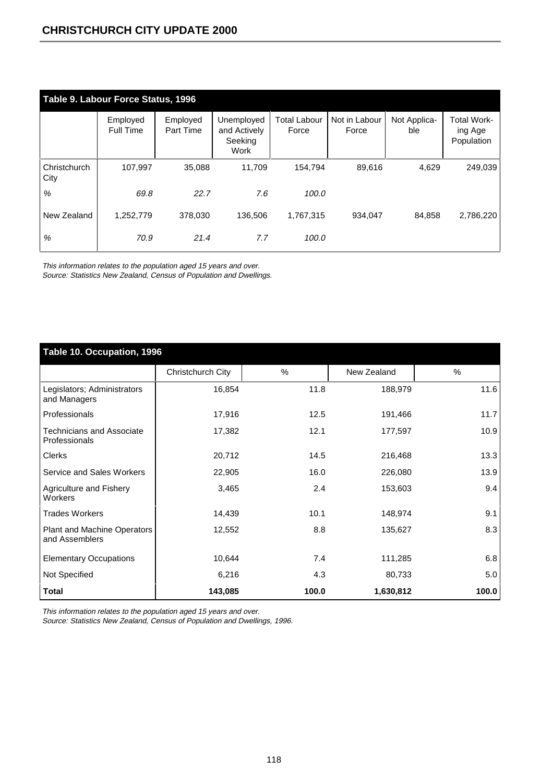|                      | Table 9. Labour Force Status, 1996 |                              |                                               |                       |                        |                     |                                             |  |  |  |  |
|----------------------|------------------------------------|------------------------------|-----------------------------------------------|-----------------------|------------------------|---------------------|---------------------------------------------|--|--|--|--|
|                      | Employed<br>Full Time              | Employed<br><b>Part Time</b> | Unemployed<br>and Actively<br>Seeking<br>Work | Total Labour<br>Force | Not in Labour<br>Force | Not Applica-<br>ble | <b>Total Work-</b><br>ing Age<br>Population |  |  |  |  |
| Christchurch<br>City | 107,997                            | 35,088                       | 11.709                                        | 154.794               | 89,616                 | 4,629               | 249,039                                     |  |  |  |  |
| %                    | 69.8                               | 22.7                         | 7.6                                           | 100.0                 |                        |                     |                                             |  |  |  |  |
| New Zealand          | 1,252,779                          | 378.030                      | 136.506                                       | 1.767.315             | 934.047                | 84.858              | 2,786,220                                   |  |  |  |  |
| $\%$                 | 70.9                               | 21.4                         | 7.7                                           | 100.0                 |                        |                     |                                             |  |  |  |  |

This information relates to the population aged 15 years and over. Source: Statistics New Zealand, Census of Population and Dwellings.

| Table 10. Occupation, 1996                        |                   |       |             |       |  |  |  |  |  |
|---------------------------------------------------|-------------------|-------|-------------|-------|--|--|--|--|--|
|                                                   | Christchurch City | %     | New Zealand | %     |  |  |  |  |  |
| Legislators; Administrators<br>and Managers       | 16,854            | 11.8  | 188,979     | 11.6  |  |  |  |  |  |
| Professionals                                     | 17,916            | 12.5  | 191,466     | 11.7  |  |  |  |  |  |
| <b>Technicians and Associate</b><br>Professionals | 17,382            | 12.1  | 177,597     | 10.9  |  |  |  |  |  |
| Clerks                                            | 20,712            | 14.5  | 216,468     | 13.3  |  |  |  |  |  |
| Service and Sales Workers                         | 22,905            | 16.0  | 226,080     | 13.9  |  |  |  |  |  |
| Agriculture and Fishery<br>Workers                | 3,465             | 2.4   | 153,603     | 9.4   |  |  |  |  |  |
| <b>Trades Workers</b>                             | 14,439            | 10.1  | 148,974     | 9.1   |  |  |  |  |  |
| Plant and Machine Operators<br>and Assemblers     | 12,552            | 8.8   | 135,627     | 8.3   |  |  |  |  |  |
| <b>Elementary Occupations</b>                     | 10,644            | 7.4   | 111,285     | 6.8   |  |  |  |  |  |
| Not Specified                                     | 6,216             | 4.3   | 80,733      | 5.0   |  |  |  |  |  |
| <b>Total</b>                                      | 143,085           | 100.0 | 1,630,812   | 100.0 |  |  |  |  |  |

This information relates to the population aged 15 years and over.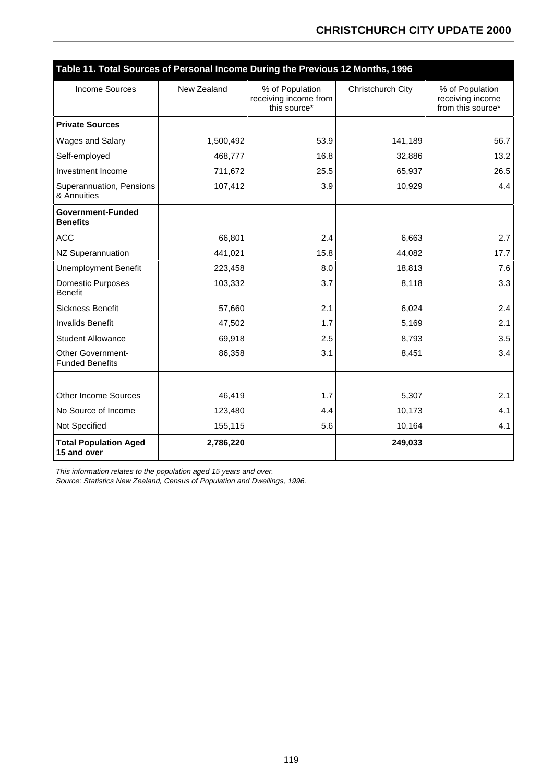## **CHRISTCHURCH CITY UPDATE 2000**

|                                                    | Table 11. Total Sources of Personal Income During the Previous 12 Months, 1996 |                                                          |                   |                                                          |  |  |  |  |  |  |
|----------------------------------------------------|--------------------------------------------------------------------------------|----------------------------------------------------------|-------------------|----------------------------------------------------------|--|--|--|--|--|--|
| <b>Income Sources</b>                              | New Zealand                                                                    | % of Population<br>receiving income from<br>this source* | Christchurch City | % of Population<br>receiving income<br>from this source* |  |  |  |  |  |  |
| <b>Private Sources</b>                             |                                                                                |                                                          |                   |                                                          |  |  |  |  |  |  |
| Wages and Salary                                   | 1,500,492                                                                      | 53.9                                                     | 141,189           | 56.7                                                     |  |  |  |  |  |  |
| Self-employed                                      | 468,777                                                                        | 16.8                                                     | 32,886            | 13.2                                                     |  |  |  |  |  |  |
| Investment Income                                  | 711,672                                                                        | 25.5                                                     | 65,937            | 26.5                                                     |  |  |  |  |  |  |
| Superannuation, Pensions<br>& Annuities            | 107,412                                                                        | 3.9                                                      | 10,929            | 4.4                                                      |  |  |  |  |  |  |
| Government-Funded<br><b>Benefits</b>               |                                                                                |                                                          |                   |                                                          |  |  |  |  |  |  |
| <b>ACC</b>                                         | 66,801                                                                         | 2.4                                                      | 6,663             | 2.7                                                      |  |  |  |  |  |  |
| NZ Superannuation                                  | 441,021                                                                        | 15.8                                                     | 44,082            | 17.7                                                     |  |  |  |  |  |  |
| <b>Unemployment Benefit</b>                        | 223,458                                                                        | 8.0                                                      | 18,813            | 7.6                                                      |  |  |  |  |  |  |
| Domestic Purposes<br><b>Benefit</b>                | 103,332                                                                        | 3.7                                                      | 8,118             | 3.3                                                      |  |  |  |  |  |  |
| Sickness Benefit                                   | 57,660                                                                         | 2.1                                                      | 6,024             | 2.4                                                      |  |  |  |  |  |  |
| <b>Invalids Benefit</b>                            | 47,502                                                                         | 1.7                                                      | 5,169             | 2.1                                                      |  |  |  |  |  |  |
| <b>Student Allowance</b>                           | 69,918                                                                         | 2.5                                                      | 8,793             | 3.5                                                      |  |  |  |  |  |  |
| <b>Other Government-</b><br><b>Funded Benefits</b> | 86,358                                                                         | 3.1                                                      | 8,451             | 3.4                                                      |  |  |  |  |  |  |
|                                                    |                                                                                |                                                          |                   |                                                          |  |  |  |  |  |  |
| Other Income Sources                               | 46,419                                                                         | 1.7                                                      | 5,307             | 2.1                                                      |  |  |  |  |  |  |
| No Source of Income                                | 123,480                                                                        | 4.4                                                      | 10,173            | 4.1                                                      |  |  |  |  |  |  |
| Not Specified                                      | 155,115                                                                        | 5.6                                                      | 10,164            | 4.1                                                      |  |  |  |  |  |  |
| <b>Total Population Aged</b><br>15 and over        | 2,786,220                                                                      |                                                          | 249,033           |                                                          |  |  |  |  |  |  |

This information relates to the population aged 15 years and over.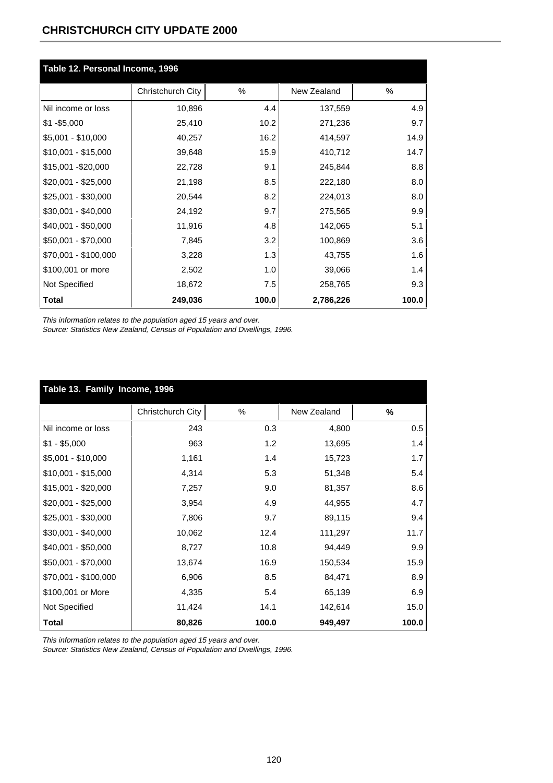## **CHRISTCHURCH CITY UPDATE 2000**

| Table 12. Personal Income, 1996 |                   |       |             |       |  |  |  |
|---------------------------------|-------------------|-------|-------------|-------|--|--|--|
|                                 | Christchurch City | $\%$  | New Zealand | ℅     |  |  |  |
| Nil income or loss              | 10,896            | 4.4   | 137,559     | 4.9   |  |  |  |
| $$1 - $5,000$                   | 25,410            | 10.2  | 271,236     | 9.7   |  |  |  |
| \$5,001 - \$10,000              | 40,257            | 16.2  | 414,597     | 14.9  |  |  |  |
| $$10,001 - $15,000$             | 39,648            | 15.9  | 410,712     | 14.7  |  |  |  |
| \$15,001 - \$20,000             | 22,728            | 9.1   | 245,844     | 8.8   |  |  |  |
| \$20,001 - \$25,000             | 21,198            | 8.5   | 222,180     | 8.0   |  |  |  |
| \$25,001 - \$30,000             | 20,544            | 8.2   | 224,013     | 8.0   |  |  |  |
| \$30,001 - \$40,000             | 24,192            | 9.7   | 275,565     | 9.9   |  |  |  |
| \$40,001 - \$50,000             | 11,916            | 4.8   | 142,065     | 5.1   |  |  |  |
| \$50,001 - \$70,000             | 7,845             | 3.2   | 100,869     | 3.6   |  |  |  |
| \$70,001 - \$100,000            | 3,228             | 1.3   | 43,755      | 1.6   |  |  |  |
| \$100,001 or more               | 2,502             | 1.0   | 39,066      | 1.4   |  |  |  |
| Not Specified                   | 18,672            | 7.5   | 258,765     | 9.3   |  |  |  |
| <b>Total</b>                    | 249,036           | 100.0 | 2,786,226   | 100.0 |  |  |  |

This information relates to the population aged 15 years and over.

Source: Statistics New Zealand, Census of Population and Dwellings, 1996.

| Table 13. Family Income, 1996 |                   |       |             |       |  |  |  |
|-------------------------------|-------------------|-------|-------------|-------|--|--|--|
|                               | Christchurch City | %     | New Zealand | %     |  |  |  |
| Nil income or loss            | 243               | 0.3   | 4,800       | 0.5   |  |  |  |
| $$1 - $5,000$                 | 963               | 1.2   | 13,695      | 1.4   |  |  |  |
| $$5,001 - $10,000$            | 1,161             | 1.4   | 15,723      | 1.7   |  |  |  |
| $$10,001 - $15,000$           | 4,314             | 5.3   | 51,348      | 5.4   |  |  |  |
| $$15,001 - $20,000$           | 7,257             | 9.0   | 81,357      | 8.6   |  |  |  |
| $$20,001 - $25,000$           | 3,954             | 4.9   | 44,955      | 4.7   |  |  |  |
| \$25,001 - \$30,000           | 7,806             | 9.7   | 89,115      | 9.4   |  |  |  |
| \$30,001 - \$40,000           | 10,062            | 12.4  | 111,297     | 11.7  |  |  |  |
| \$40,001 - \$50,000           | 8,727             | 10.8  | 94,449      | 9.9   |  |  |  |
| \$50,001 - \$70,000           | 13,674            | 16.9  | 150,534     | 15.9  |  |  |  |
| \$70,001 - \$100,000          | 6,906             | 8.5   | 84,471      | 8.9   |  |  |  |
| \$100,001 or More             | 4,335             | 5.4   | 65,139      | 6.9   |  |  |  |
| Not Specified                 | 11,424            | 14.1  | 142,614     | 15.0  |  |  |  |
| <b>Total</b>                  | 80,826            | 100.0 | 949,497     | 100.0 |  |  |  |

This information relates to the population aged 15 years and over.